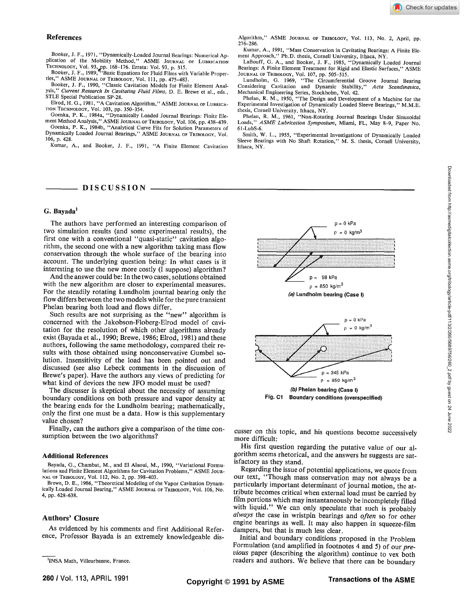Booker, J. F., 1971, "Dynamically-Loaded Journal Bearings: Numerical Application of the Mobility Method," ASME JOURNAL OF LUBRICATION<br>TECHNOLOGY, Vol. 93, pp. 168-176. Errata: Vol. 93, p. 315.

Booker, J. F., 1989, "Basic Equations for Fluid Films with Variable Properties," ASME JOURNAL OF TRIBOLOGY, Vol. 111, pp. 475-483.

Booker, J. F., 1990, "Classic Cavitation Models for Finite Element Analysis," *Current Research In Cavitating Fluid Films,* D. E. Brewe et al., eds., STLE Special Publication SP-28.

Elrod, H. G., 1981, "A Cavitation Algorithm," ASME JOURNAL OF LUBRICA-TION TECHNOLOGY, Vol. 103, pp. 350-354.

Goenka, P. K., 1984a, "Dynamically Loaded Journal Bearings: Finite Element Method Analysis," ASME JOURNAL OF TRIBOLOGY, Vol. 106, pp. 438-439.

Goenka, P. K., 1984b, "Analytical Curve Fits for Solution Parameters of Dynamically Loaded Journal Bearings," ASME JOURNAL OF TRIBOLOGY, Vol. 106, p. 428.

Kumar, A., and Booker, J. F., 1991, "A Finite Element Cavitation

# - DISCUSSION

### $G.$  Bayada<sup>1</sup>

The authors have performed an interesting comparison of two simulation results (and some experimental results), the first one with a conventional "quasi-static" cavitation algorithm, the second one with a new algorithm taking mass flow conservation through the whole surface of the bearing into account. The underlying question being: In what cases is it interesting to use the new more costly (I suppose) algorithm?

And the answer could be: In the two cases, solutions obtained with the new algorithm are closer to experimental measures. For the steadily rotating Lundholm journal bearing only the flow differs between the two models while for the pure transient Phelan bearing both load and flows differ.

Such results are not surprising as the "new" algorithm is concerned with the Jakobson-Floberg-Elrod model of cavitation for the resolution of which other algorithms already exist (Bayada et al., 1990; Brewe, 1986; Elrod, 1981) and these authors, following the same methodology, compared their results with those obtained using nonconservative Gumbel solution. Insensitivity of the load has been pointed out and discussed (see also Lebeck comments in the discussion of Brewe's paper). Have the authors any views of predicting for what kind of devices the new JFO model must be used?

The discusser is skeptical about the necessity of assuming boundary conditions on both pressure and vapor density at the bearing ends for the Lundholm bearing; mathematically, only the first one must be a data. How is this supplementary value chosen?

Finally, can the authors give a comparison of the time consumption between the two algorithms?

#### **Additional References**

Bayada, G., Chambat, M., and El Alaoui, M., 1990, "Variational Formulations and Finite Element Algorithms for Cavitation Problems," ASME JOUR-NAL OF TRIBOLOGY, Vol. 112, No. 2, pp. 398-403.

Brewe, D. E., 1986, "Theoretical Modeling of the Vapor Cavitation Dynamically Loaded Journal Bearing," ASME JOURNAL OF TRIBOLOGY, Vol. 106, No. 4, pp. 628-638.

### **Authors' Closure**

As evidenced by his comments and first Additional Reference, Professor Bayada is an extremely knowledgeable dis-

Algorithm," ASME JOURNAL OF TRIBOLOGY, Vol. 113, No. 2, April, pp. 276-286.

Kumar, A., 1991, "Mass Conservation in Cavitating Bearings: A Finite Element Approach," Ph.D. thesis, Cornell University, Ithaca, NY.

LaBouff, G. A., and Booker, J. F., 1985, "Dynamically Loaded Journal Bearings: A Finite Element Treatment for Rigid and Elastic Surfaces," ASME JOURNAL OF TRIBOLOGY, Vol. 107, pp. 505-515.

Lundholm, G. 1969, "The Circumferential Groove Journal Bearing Cavitation and Dynamic Stability," Acta Scandinavica, Considering Cavitation and Dynamic Stability," Mechanical Engineering Series, Stockholm, Vol. 42.

Phelan, R. M., 1950, "The Design and Development of a Machine for the Experimental Investigation of Dynamically Loaded Sleeve Bearings," M.M.E. thesis, Cornell University, Ithaca, NY.

Phelan, R. M., 1961, "Non-Rotating Journal Bearings Under Sinusoidal Loads," *ASME Lubrication Symposium,* Miami, FL, May 8-9, Paper No. 61-LubS-6.

Smith, W. L., 1955, "Experimental Investigations of Dynamically Loaded Sleeve Bearings with No Shaft Rotation," M. S. thesis, Cornell University, Ithaca, NY.



cusser on this topic, and his questions become successively

His first question regarding the putative value of our algorithm seems rhetorical, and the answers he suggests are satisfactory as they stand.

more difficult:

Regarding the issue of potential applications, we quote from our text, "Though mass conservation may not always be a particularly important determinant of journal motion, the attribute becomes critical when external load must be carried by film portions which may instantaneously be incompletely filled with liquid." We can only speculate that such is probably *always* the case in wristpin bearings and *often* so for other engine bearings as well. It may also happen in squeeze-film dampers, but that is much less clear.

Initial and boundary conditions proposed in the Problem Formulation (and amplified in footnotes 4 and 5) of our *previous* paper (describing the algorithm) continue to vex both readers and authors. We believe that there can be boundary

<sup>&#</sup>x27;INSA Math, Villeurbanne, France.